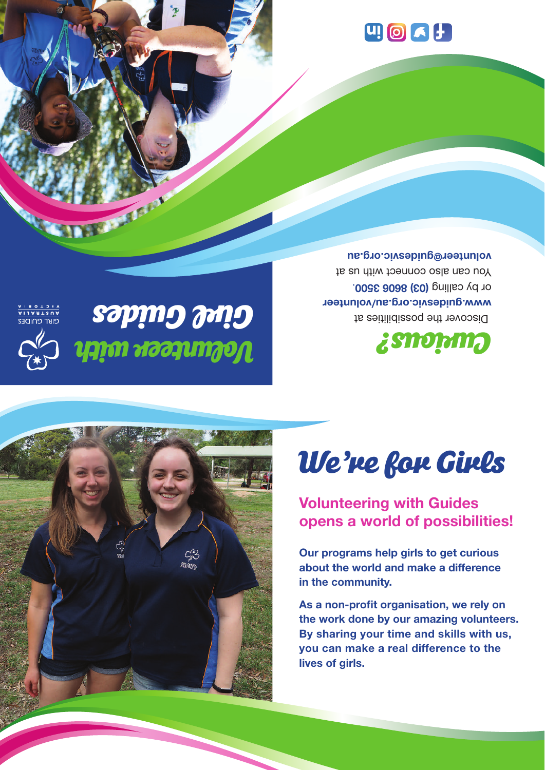# $\left[\begin{matrix} 1 \\ 0 \end{matrix}\right]$   $\left[\begin{matrix} 2 \\ 3 \end{matrix}\right]$

# *Volunteer with Girl Guides*

T

 Discover the possibilities at **www.guidesvic.org.au/volunteer** . **8606 3500 ) 03 (** or by calling You can also connect with us at **volunteer@guidesvic.org.au**





# *We're for Girls*

## **Volunteering with Guides opens a world of possibilities!**

**Our programs help girls to get curious about the world and make a difference in the community.**

**As a non-profit organisation, we rely on the work done by our amazing volunteers. By sharing your time and skills with us, you can make a real difference to the lives of girls.**